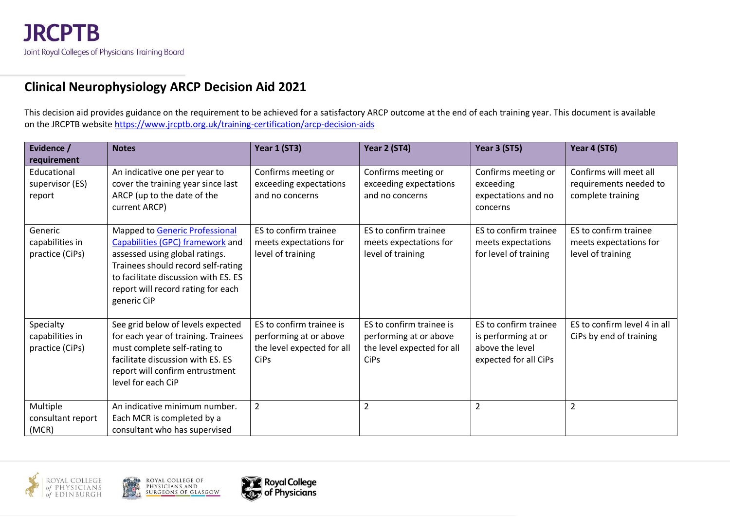## **Clinical Neurophysiology ARCP Decision Aid 2021**

This decision aid provides guidance on the requirement to be achieved for a satisfactory ARCP outcome at the end of each training year. This document is available on the JRCPTB website<https://www.jrcptb.org.uk/training-certification/arcp-decision-aids>

| Evidence /<br>requirement                       | <b>Notes</b>                                                                                                                                                                                                                            | <b>Year 1 (ST3)</b>                                                                             | Year 2 (ST4)                                                                                    | Year 3 (ST5)                                                                             | Year 4 (ST6)                                                          |
|-------------------------------------------------|-----------------------------------------------------------------------------------------------------------------------------------------------------------------------------------------------------------------------------------------|-------------------------------------------------------------------------------------------------|-------------------------------------------------------------------------------------------------|------------------------------------------------------------------------------------------|-----------------------------------------------------------------------|
| Educational<br>supervisor (ES)<br>report        | An indicative one per year to<br>cover the training year since last<br>ARCP (up to the date of the<br>current ARCP)                                                                                                                     | Confirms meeting or<br>exceeding expectations<br>and no concerns                                | Confirms meeting or<br>exceeding expectations<br>and no concerns                                | Confirms meeting or<br>exceeding<br>expectations and no<br>concerns                      | Confirms will meet all<br>requirements needed to<br>complete training |
| Generic<br>capabilities in<br>practice (CiPs)   | Mapped to Generic Professional<br>Capabilities (GPC) framework and<br>assessed using global ratings.<br>Trainees should record self-rating<br>to facilitate discussion with ES. ES<br>report will record rating for each<br>generic CiP | ES to confirm trainee<br>meets expectations for<br>level of training                            | ES to confirm trainee<br>meets expectations for<br>level of training                            | ES to confirm trainee<br>meets expectations<br>for level of training                     | ES to confirm trainee<br>meets expectations for<br>level of training  |
| Specialty<br>capabilities in<br>practice (CiPs) | See grid below of levels expected<br>for each year of training. Trainees<br>must complete self-rating to<br>facilitate discussion with ES. ES<br>report will confirm entrustment<br>level for each CiP                                  | ES to confirm trainee is<br>performing at or above<br>the level expected for all<br><b>CiPs</b> | ES to confirm trainee is<br>performing at or above<br>the level expected for all<br><b>CiPs</b> | ES to confirm trainee<br>is performing at or<br>above the level<br>expected for all CiPs | ES to confirm level 4 in all<br>CiPs by end of training               |
| Multiple<br>consultant report<br>(MCR)          | An indicative minimum number.<br>Each MCR is completed by a<br>consultant who has supervised                                                                                                                                            | $\overline{2}$                                                                                  | $\overline{2}$                                                                                  | $\overline{2}$                                                                           | $\overline{2}$                                                        |



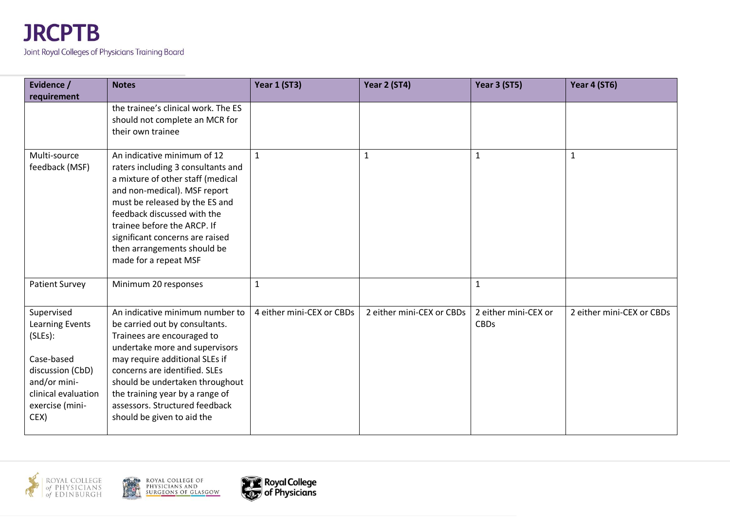

| Evidence /                                                                                                                                   | <b>Notes</b>                                                                                                                                                                                                                                                                                                                               | Year 1 (ST3)              | Year 2 (ST4)              | Year 3 (ST5)                        | Year 4 (ST6)              |
|----------------------------------------------------------------------------------------------------------------------------------------------|--------------------------------------------------------------------------------------------------------------------------------------------------------------------------------------------------------------------------------------------------------------------------------------------------------------------------------------------|---------------------------|---------------------------|-------------------------------------|---------------------------|
| requirement                                                                                                                                  | the trainee's clinical work. The ES<br>should not complete an MCR for                                                                                                                                                                                                                                                                      |                           |                           |                                     |                           |
|                                                                                                                                              | their own trainee                                                                                                                                                                                                                                                                                                                          |                           |                           |                                     |                           |
| Multi-source<br>feedback (MSF)                                                                                                               | An indicative minimum of 12<br>raters including 3 consultants and<br>a mixture of other staff (medical<br>and non-medical). MSF report<br>must be released by the ES and<br>feedback discussed with the<br>trainee before the ARCP. If<br>significant concerns are raised<br>then arrangements should be<br>made for a repeat MSF          | $\mathbf{1}$              | 1                         | 1                                   | $\mathbf{1}$              |
| <b>Patient Survey</b>                                                                                                                        | Minimum 20 responses                                                                                                                                                                                                                                                                                                                       | $\mathbf 1$               |                           | $\mathbf{1}$                        |                           |
| Supervised<br>Learning Events<br>(SLES):<br>Case-based<br>discussion (CbD)<br>and/or mini-<br>clinical evaluation<br>exercise (mini-<br>CEX) | An indicative minimum number to<br>be carried out by consultants.<br>Trainees are encouraged to<br>undertake more and supervisors<br>may require additional SLEs if<br>concerns are identified. SLEs<br>should be undertaken throughout<br>the training year by a range of<br>assessors. Structured feedback<br>should be given to aid the | 4 either mini-CEX or CBDs | 2 either mini-CEX or CBDs | 2 either mini-CEX or<br><b>CBDs</b> | 2 either mini-CEX or CBDs |



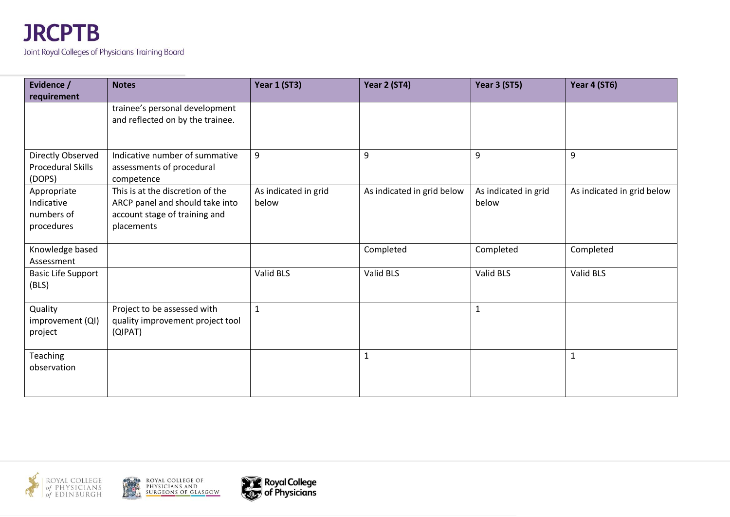

| Evidence /                | <b>Notes</b>                                | <b>Year 1 (ST3)</b>  | Year 2 (ST4)               | Year 3 (ST5)         | Year 4 (ST6)               |
|---------------------------|---------------------------------------------|----------------------|----------------------------|----------------------|----------------------------|
| requirement               |                                             |                      |                            |                      |                            |
|                           | trainee's personal development              |                      |                            |                      |                            |
|                           | and reflected on by the trainee.            |                      |                            |                      |                            |
|                           |                                             |                      |                            |                      |                            |
| Directly Observed         | Indicative number of summative              | 9                    | 9                          | 9                    | 9                          |
| Procedural Skills         | assessments of procedural                   |                      |                            |                      |                            |
| (DOPS)                    | competence                                  |                      |                            |                      |                            |
| Appropriate               | This is at the discretion of the            | As indicated in grid | As indicated in grid below | As indicated in grid | As indicated in grid below |
| Indicative                | ARCP panel and should take into             | below                |                            | below                |                            |
| numbers of                | account stage of training and               |                      |                            |                      |                            |
| procedures                | placements                                  |                      |                            |                      |                            |
| Knowledge based           |                                             |                      | Completed                  | Completed            | Completed                  |
| Assessment                |                                             |                      |                            |                      |                            |
| <b>Basic Life Support</b> |                                             | Valid BLS            | Valid BLS                  | Valid BLS            | Valid BLS                  |
| (BLS)                     |                                             |                      |                            |                      |                            |
|                           |                                             |                      |                            |                      |                            |
| Quality                   | Project to be assessed with                 | $\mathbf{1}$         |                            | 1                    |                            |
| improvement (QI)          | quality improvement project tool<br>(QIPAT) |                      |                            |                      |                            |
| project                   |                                             |                      |                            |                      |                            |
| Teaching                  |                                             |                      | $\mathbf{1}$               |                      | 1                          |
| observation               |                                             |                      |                            |                      |                            |
|                           |                                             |                      |                            |                      |                            |
|                           |                                             |                      |                            |                      |                            |





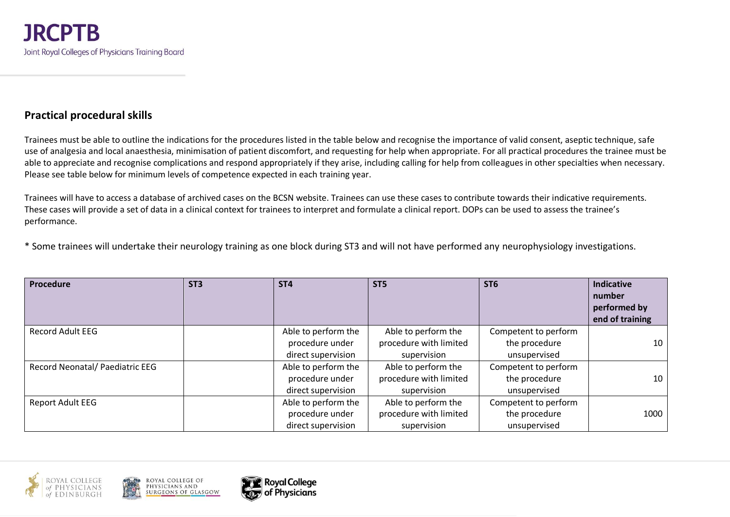## **Practical procedural skills**

Trainees must be able to outline the indications for the procedures listed in the table below and recognise the importance of valid consent, aseptic technique, safe use of analgesia and local anaesthesia, minimisation of patient discomfort, and requesting for help when appropriate. For all practical procedures the trainee must be able to appreciate and recognise complications and respond appropriately if they arise, including calling for help from colleagues in other specialties when necessary. Please see table below for minimum levels of competence expected in each training year.

Trainees will have to access a database of archived cases on the BCSN website. Trainees can use these cases to contribute towards their indicative requirements. These cases will provide a set of data in a clinical context for trainees to interpret and formulate a clinical report. DOPs can be used to assess the trainee's performance.

\* Some trainees will undertake their neurology training as one block during ST3 and will not have performed any neurophysiology investigations.

| <b>Procedure</b>                | ST <sub>3</sub> | ST <sub>4</sub>     | ST <sub>5</sub>        | ST <sub>6</sub>      | Indicative<br>number<br>performed by<br>end of training |
|---------------------------------|-----------------|---------------------|------------------------|----------------------|---------------------------------------------------------|
| <b>Record Adult EEG</b>         |                 | Able to perform the | Able to perform the    | Competent to perform |                                                         |
|                                 |                 | procedure under     | procedure with limited | the procedure        | 10                                                      |
|                                 |                 | direct supervision  | supervision            | unsupervised         |                                                         |
| Record Neonatal/ Paediatric EEG |                 | Able to perform the | Able to perform the    | Competent to perform |                                                         |
|                                 |                 | procedure under     | procedure with limited | the procedure        | 10                                                      |
|                                 |                 | direct supervision  | supervision            | unsupervised         |                                                         |
| <b>Report Adult EEG</b>         |                 | Able to perform the | Able to perform the    | Competent to perform |                                                         |
|                                 |                 | procedure under     | procedure with limited | the procedure        | 1000                                                    |
|                                 |                 | direct supervision  | supervision            | unsupervised         |                                                         |



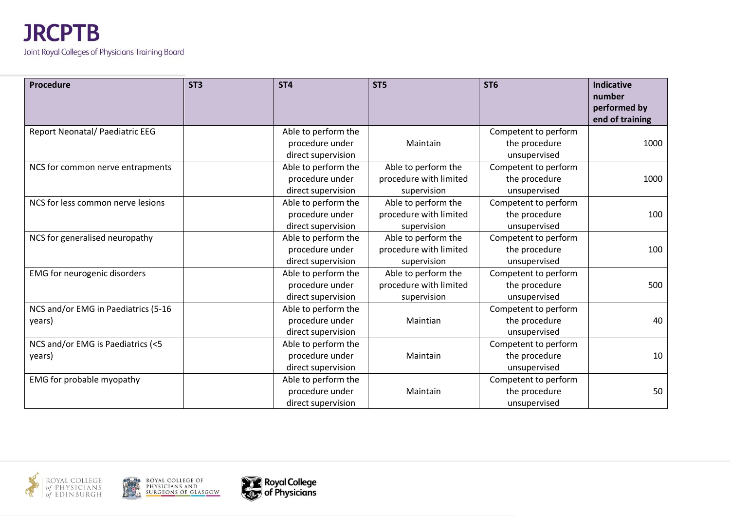

| Procedure                           | ST <sub>3</sub> | ST <sub>4</sub>     | ST <sub>5</sub>        | ST <sub>6</sub>      | <b>Indicative</b><br>number<br>performed by<br>end of training |
|-------------------------------------|-----------------|---------------------|------------------------|----------------------|----------------------------------------------------------------|
| Report Neonatal/ Paediatric EEG     |                 | Able to perform the |                        | Competent to perform |                                                                |
|                                     |                 | procedure under     | Maintain               | the procedure        | 1000                                                           |
|                                     |                 | direct supervision  |                        | unsupervised         |                                                                |
| NCS for common nerve entrapments    |                 | Able to perform the | Able to perform the    | Competent to perform |                                                                |
|                                     |                 | procedure under     | procedure with limited | the procedure        | 1000                                                           |
|                                     |                 | direct supervision  | supervision            | unsupervised         |                                                                |
| NCS for less common nerve lesions   |                 | Able to perform the | Able to perform the    | Competent to perform |                                                                |
|                                     |                 | procedure under     | procedure with limited | the procedure        | 100                                                            |
|                                     |                 | direct supervision  | supervision            | unsupervised         |                                                                |
| NCS for generalised neuropathy      |                 | Able to perform the | Able to perform the    | Competent to perform |                                                                |
|                                     |                 | procedure under     | procedure with limited | the procedure        | 100                                                            |
|                                     |                 | direct supervision  | supervision            | unsupervised         |                                                                |
| EMG for neurogenic disorders        |                 | Able to perform the | Able to perform the    | Competent to perform |                                                                |
|                                     |                 | procedure under     | procedure with limited | the procedure        | 500                                                            |
|                                     |                 | direct supervision  | supervision            | unsupervised         |                                                                |
| NCS and/or EMG in Paediatrics (5-16 |                 | Able to perform the |                        | Competent to perform |                                                                |
| years)                              |                 | procedure under     | Maintian               | the procedure        | 40                                                             |
|                                     |                 | direct supervision  |                        | unsupervised         |                                                                |
| NCS and/or EMG is Paediatrics (<5   |                 | Able to perform the |                        | Competent to perform |                                                                |
| years)                              |                 | procedure under     | Maintain               | the procedure        | 10                                                             |
|                                     |                 | direct supervision  |                        | unsupervised         |                                                                |
| EMG for probable myopathy           |                 | Able to perform the |                        | Competent to perform |                                                                |
|                                     |                 | procedure under     | Maintain               | the procedure        | 50                                                             |
|                                     |                 | direct supervision  |                        | unsupervised         |                                                                |





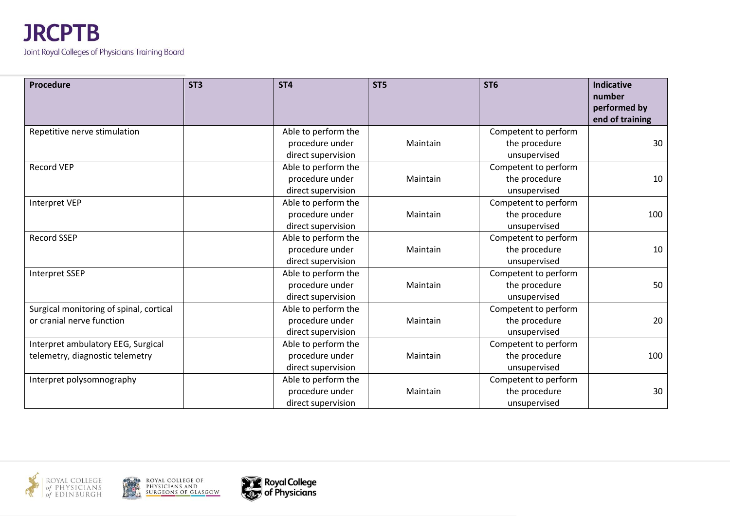| <b>Procedure</b>                        | ST <sub>3</sub> | ST <sub>4</sub>     | ST <sub>5</sub> | ST <sub>6</sub>      | Indicative<br>number<br>performed by<br>end of training |
|-----------------------------------------|-----------------|---------------------|-----------------|----------------------|---------------------------------------------------------|
| Repetitive nerve stimulation            |                 | Able to perform the |                 | Competent to perform |                                                         |
|                                         |                 | procedure under     | Maintain        | the procedure        | 30                                                      |
|                                         |                 | direct supervision  |                 | unsupervised         |                                                         |
| <b>Record VEP</b>                       |                 | Able to perform the |                 | Competent to perform |                                                         |
|                                         |                 | procedure under     | Maintain        | the procedure        | 10                                                      |
|                                         |                 | direct supervision  |                 | unsupervised         |                                                         |
| <b>Interpret VEP</b>                    |                 | Able to perform the |                 | Competent to perform |                                                         |
|                                         |                 | procedure under     | Maintain        | the procedure        | 100                                                     |
|                                         |                 | direct supervision  |                 | unsupervised         |                                                         |
| <b>Record SSEP</b>                      |                 | Able to perform the |                 | Competent to perform |                                                         |
|                                         |                 | procedure under     | Maintain        | the procedure        | 10                                                      |
|                                         |                 | direct supervision  |                 | unsupervised         |                                                         |
| <b>Interpret SSEP</b>                   |                 | Able to perform the |                 | Competent to perform |                                                         |
|                                         |                 | procedure under     | Maintain        | the procedure        | 50                                                      |
|                                         |                 | direct supervision  |                 | unsupervised         |                                                         |
| Surgical monitoring of spinal, cortical |                 | Able to perform the |                 | Competent to perform |                                                         |
| or cranial nerve function               |                 | procedure under     | Maintain        | the procedure        | 20                                                      |
|                                         |                 | direct supervision  |                 | unsupervised         |                                                         |
| Interpret ambulatory EEG, Surgical      |                 | Able to perform the |                 | Competent to perform |                                                         |
| telemetry, diagnostic telemetry         |                 | procedure under     | Maintain        | the procedure        | 100                                                     |
|                                         |                 | direct supervision  |                 | unsupervised         |                                                         |
| Interpret polysomnography               |                 | Able to perform the |                 | Competent to perform |                                                         |
|                                         |                 | procedure under     | Maintain        | the procedure        | 30                                                      |
|                                         |                 | direct supervision  |                 | unsupervised         |                                                         |





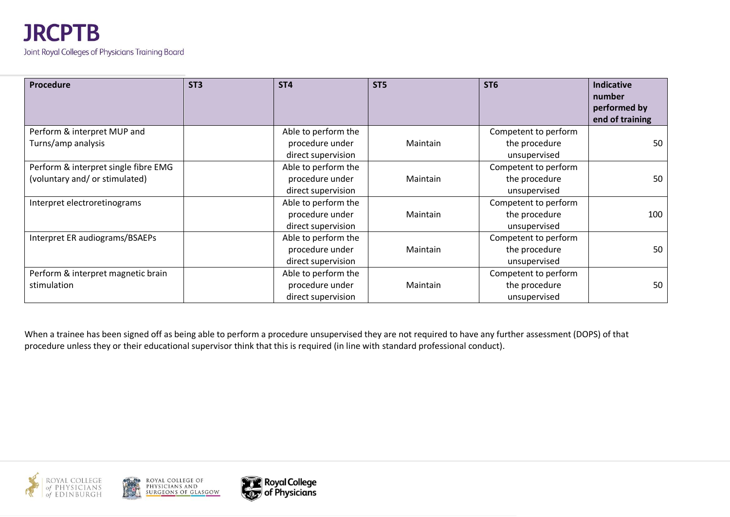| Procedure                            | ST <sub>3</sub> | ST <sub>4</sub>     | ST <sub>5</sub> | ST <sub>6</sub>      | <b>Indicative</b><br>number<br>performed by<br>end of training |
|--------------------------------------|-----------------|---------------------|-----------------|----------------------|----------------------------------------------------------------|
| Perform & interpret MUP and          |                 | Able to perform the |                 | Competent to perform |                                                                |
| Turns/amp analysis                   |                 | procedure under     | Maintain        | the procedure        | 50                                                             |
|                                      |                 | direct supervision  |                 | unsupervised         |                                                                |
| Perform & interpret single fibre EMG |                 | Able to perform the |                 | Competent to perform |                                                                |
| (voluntary and/ or stimulated)       |                 | procedure under     | Maintain        | the procedure        | 50                                                             |
|                                      |                 | direct supervision  |                 | unsupervised         |                                                                |
| Interpret electroretinograms         |                 | Able to perform the |                 | Competent to perform |                                                                |
|                                      |                 | procedure under     | Maintain        | the procedure        | 100                                                            |
|                                      |                 | direct supervision  |                 | unsupervised         |                                                                |
| Interpret ER audiograms/BSAEPs       |                 | Able to perform the |                 | Competent to perform |                                                                |
|                                      |                 | procedure under     | Maintain        | the procedure        | 50                                                             |
|                                      |                 | direct supervision  |                 | unsupervised         |                                                                |
| Perform & interpret magnetic brain   |                 | Able to perform the |                 | Competent to perform |                                                                |
| stimulation                          |                 | procedure under     | Maintain        | the procedure        | 50                                                             |
|                                      |                 | direct supervision  |                 | unsupervised         |                                                                |

When a trainee has been signed off as being able to perform a procedure unsupervised they are not required to have any further assessment (DOPS) of that procedure unless they or their educational supervisor think that this is required (in line with standard professional conduct).